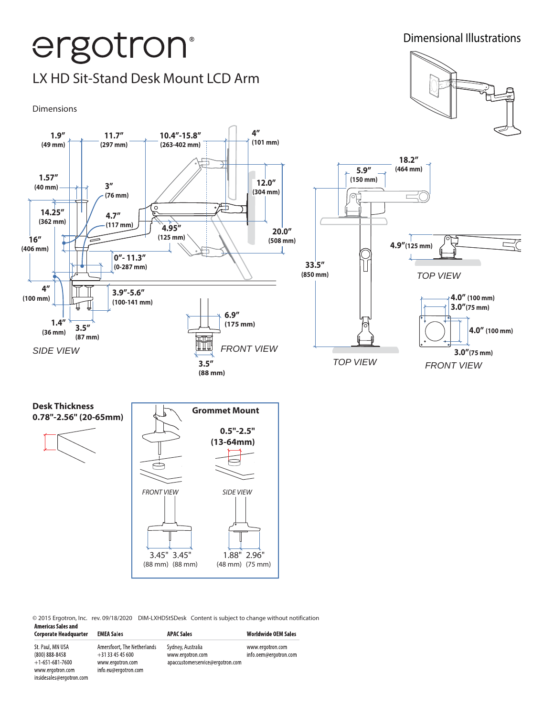

© 2015 Ergotron, Inc. rev. 09/18/2020 DIM-LXHDStSDesk Content is subject to change without notification

| Americas Sales and<br><b>Corporate Headquarter</b>      | <b>EMEA Sales</b>                                                 | <b>APAC Sales</b>                                                         | <b>Worldwide OEM Sales</b>                |
|---------------------------------------------------------|-------------------------------------------------------------------|---------------------------------------------------------------------------|-------------------------------------------|
| St. Paul, MN USA<br>(800) 888-8458<br>$+1-651-681-7600$ | Amersfoort, The Netherlands<br>$+31334545600$<br>www.ergotron.com | Sydney, Australia<br>www.ergotron.com<br>apaccustomerservice@ergotron.com | www.ergotron.com<br>info.oem@ergotron.com |
| www.ergotron.com<br>insidesales@ergotron.com            | info.eu@ergotron.com                                              |                                                                           |                                           |